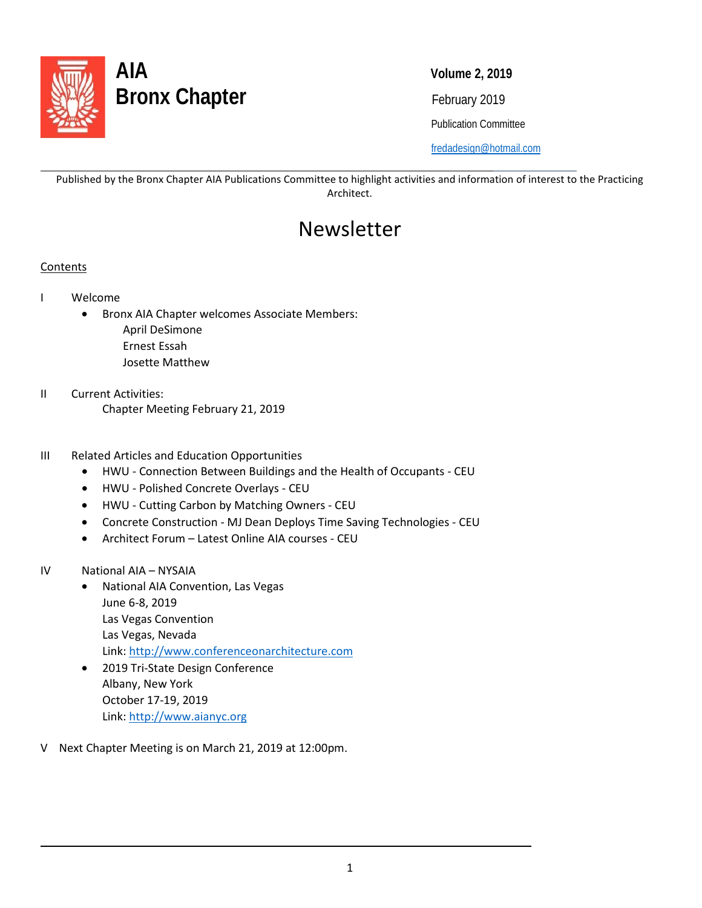

Publication Committee

[fredadesign@hotmail.com](mailto:fredadesign@hotmail.com)

Published by the Bronx Chapter AIA Publications Committee to highlight activities and information of interest to the Practicing Architect.

# Newsletter

### Contents

l

- I Welcome
	- Bronx AIA Chapter welcomes Associate Members:
		- April DeSimone Ernest Essah
		- Josette Matthew
- II Current Activities: Chapter Meeting February 21, 2019
- III Related Articles and Education Opportunities
	- HWU Connection Between Buildings and the Health of Occupants CEU
	- HWU Polished Concrete Overlays CEU
	- HWU Cutting Carbon by Matching Owners CEU
	- Concrete Construction MJ Dean Deploys Time Saving Technologies CEU
	- Architect Forum Latest Online AIA courses CEU
- IV National AIA NYSAIA

 $\overline{\phantom{0}}$ 

- National AIA Convention, Las Vegas June 6-8, 2019 Las Vegas Convention Las Vegas, Nevada Link: [http://www.conferenceonarchitecture.com](http://www.conferenceonarchitecture.com/)
- 2019 Tri-State Design Conference Albany, New York October 17-19, 2019 Link[: http://www.aianyc.org](http://www.aianyc.org/)
- V Next Chapter Meeting is on March 21, 2019 at 12:00pm.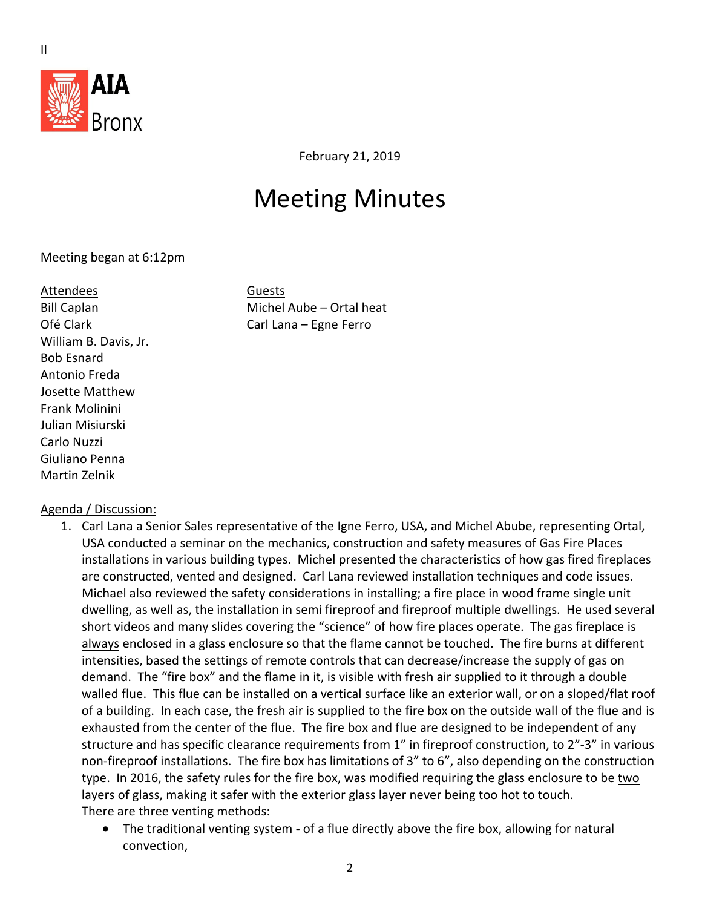

February 21, 2019

# Meeting Minutes

Meeting began at 6:12pm

#### Attendees Guests

William B. Davis, Jr. Bob Esnard Antonio Freda Josette Matthew Frank Molinini Julian Misiurski Carlo Nuzzi Giuliano Penna Martin Zelnik

Bill Caplan Michel Aube – Ortal heat Ofé Clark Carl Lana – Egne Ferro

### Agenda / Discussion:

- 1. Carl Lana a Senior Sales representative of the Igne Ferro, USA, and Michel Abube, representing Ortal, USA conducted a seminar on the mechanics, construction and safety measures of Gas Fire Places installations in various building types. Michel presented the characteristics of how gas fired fireplaces are constructed, vented and designed. Carl Lana reviewed installation techniques and code issues. Michael also reviewed the safety considerations in installing; a fire place in wood frame single unit dwelling, as well as, the installation in semi fireproof and fireproof multiple dwellings. He used several short videos and many slides covering the "science" of how fire places operate. The gas fireplace is always enclosed in a glass enclosure so that the flame cannot be touched. The fire burns at different intensities, based the settings of remote controls that can decrease/increase the supply of gas on demand. The "fire box" and the flame in it, is visible with fresh air supplied to it through a double walled flue. This flue can be installed on a vertical surface like an exterior wall, or on a sloped/flat roof of a building. In each case, the fresh air is supplied to the fire box on the outside wall of the flue and is exhausted from the center of the flue. The fire box and flue are designed to be independent of any structure and has specific clearance requirements from 1" in fireproof construction, to 2"-3" in various non-fireproof installations. The fire box has limitations of 3" to 6", also depending on the construction type. In 2016, the safety rules for the fire box, was modified requiring the glass enclosure to be two layers of glass, making it safer with the exterior glass layer never being too hot to touch. There are three venting methods:
	- The traditional venting system of a flue directly above the fire box, allowing for natural convection,

II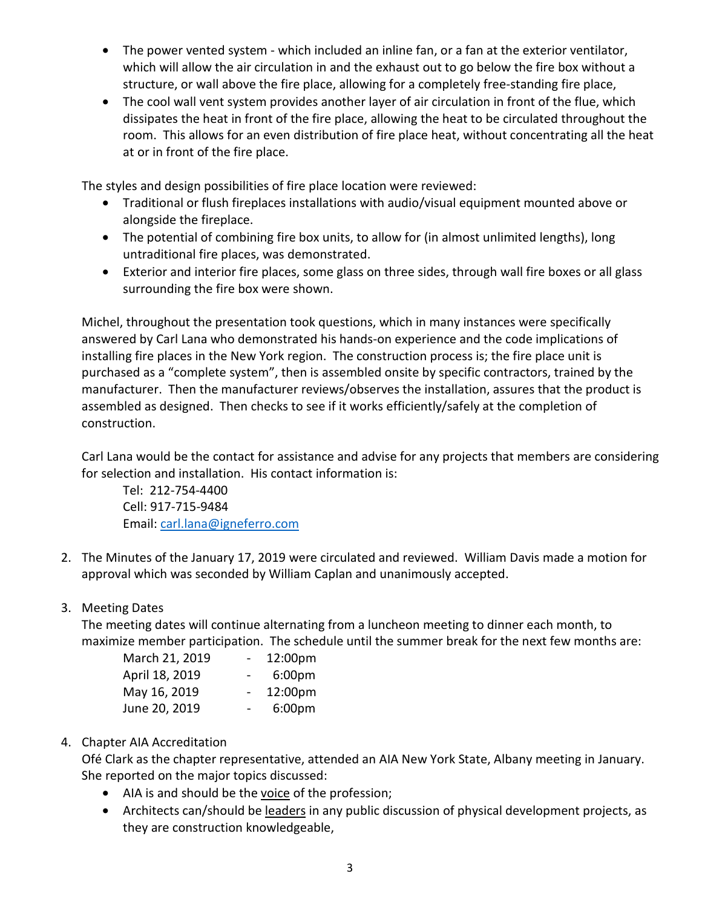- The power vented system which included an inline fan, or a fan at the exterior ventilator, which will allow the air circulation in and the exhaust out to go below the fire box without a structure, or wall above the fire place, allowing for a completely free-standing fire place,
- The cool wall vent system provides another layer of air circulation in front of the flue, which dissipates the heat in front of the fire place, allowing the heat to be circulated throughout the room. This allows for an even distribution of fire place heat, without concentrating all the heat at or in front of the fire place.

The styles and design possibilities of fire place location were reviewed:

- Traditional or flush fireplaces installations with audio/visual equipment mounted above or alongside the fireplace.
- The potential of combining fire box units, to allow for (in almost unlimited lengths), long untraditional fire places, was demonstrated.
- Exterior and interior fire places, some glass on three sides, through wall fire boxes or all glass surrounding the fire box were shown.

Michel, throughout the presentation took questions, which in many instances were specifically answered by Carl Lana who demonstrated his hands-on experience and the code implications of installing fire places in the New York region. The construction process is; the fire place unit is purchased as a "complete system", then is assembled onsite by specific contractors, trained by the manufacturer. Then the manufacturer reviews/observes the installation, assures that the product is assembled as designed. Then checks to see if it works efficiently/safely at the completion of construction.

Carl Lana would be the contact for assistance and advise for any projects that members are considering for selection and installation. His contact information is:

Tel: 212-754-4400 Cell: 917-715-9484 Email: [carl.lana@igneferro.com](mailto:carl.lana@igneferro.com)

2. The Minutes of the January 17, 2019 were circulated and reviewed. William Davis made a motion for approval which was seconded by William Caplan and unanimously accepted.

### 3. Meeting Dates

The meeting dates will continue alternating from a luncheon meeting to dinner each month, to maximize member participation. The schedule until the summer break for the next few months are:

| March 21, 2019 | $\sim$ | 12:00pm            |
|----------------|--------|--------------------|
| April 18, 2019 | $\sim$ | 6:00 <sub>pm</sub> |
| May 16, 2019   | $\sim$ | 12:00pm            |
| June 20, 2019  | $\sim$ | 6:00 <sub>pm</sub> |

### 4. Chapter AIA Accreditation

Ofé Clark as the chapter representative, attended an AIA New York State, Albany meeting in January. She reported on the major topics discussed:

- AIA is and should be the voice of the profession;
- Architects can/should be leaders in any public discussion of physical development projects, as they are construction knowledgeable,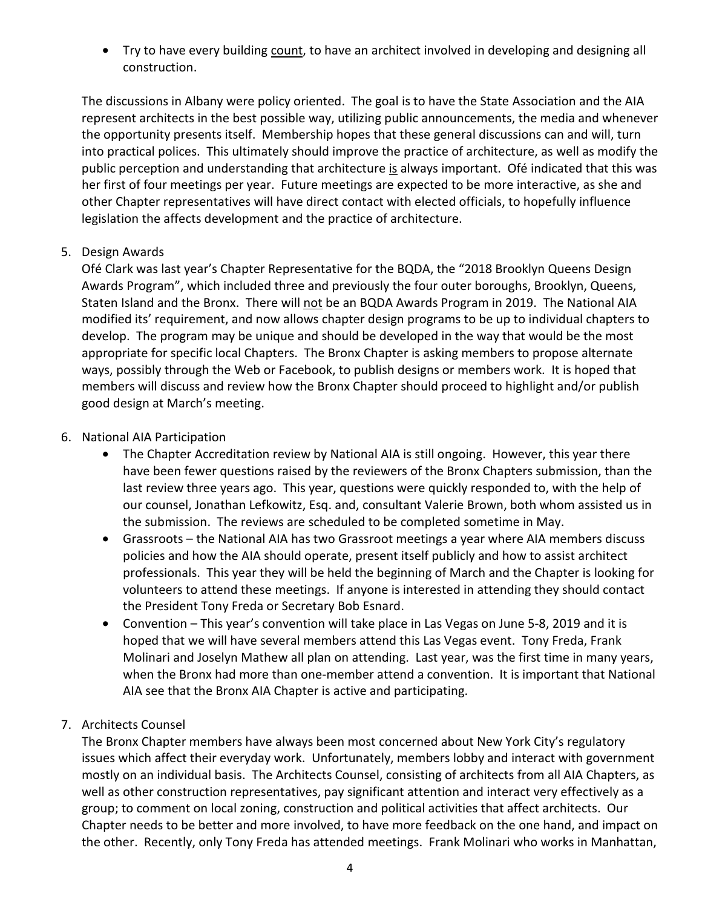• Try to have every building count, to have an architect involved in developing and designing all construction.

The discussions in Albany were policy oriented. The goal is to have the State Association and the AIA represent architects in the best possible way, utilizing public announcements, the media and whenever the opportunity presents itself. Membership hopes that these general discussions can and will, turn into practical polices. This ultimately should improve the practice of architecture, as well as modify the public perception and understanding that architecture is always important. Ofé indicated that this was her first of four meetings per year. Future meetings are expected to be more interactive, as she and other Chapter representatives will have direct contact with elected officials, to hopefully influence legislation the affects development and the practice of architecture.

### 5. Design Awards

Ofé Clark was last year's Chapter Representative for the BQDA, the "2018 Brooklyn Queens Design Awards Program", which included three and previously the four outer boroughs, Brooklyn, Queens, Staten Island and the Bronx. There will not be an BQDA Awards Program in 2019. The National AIA modified its' requirement, and now allows chapter design programs to be up to individual chapters to develop. The program may be unique and should be developed in the way that would be the most appropriate for specific local Chapters. The Bronx Chapter is asking members to propose alternate ways, possibly through the Web or Facebook, to publish designs or members work. It is hoped that members will discuss and review how the Bronx Chapter should proceed to highlight and/or publish good design at March's meeting.

### 6. National AIA Participation

- The Chapter Accreditation review by National AIA is still ongoing. However, this year there have been fewer questions raised by the reviewers of the Bronx Chapters submission, than the last review three years ago. This year, questions were quickly responded to, with the help of our counsel, Jonathan Lefkowitz, Esq. and, consultant Valerie Brown, both whom assisted us in the submission. The reviews are scheduled to be completed sometime in May.
- Grassroots the National AIA has two Grassroot meetings a year where AIA members discuss policies and how the AIA should operate, present itself publicly and how to assist architect professionals. This year they will be held the beginning of March and the Chapter is looking for volunteers to attend these meetings. If anyone is interested in attending they should contact the President Tony Freda or Secretary Bob Esnard.
- Convention This year's convention will take place in Las Vegas on June 5-8, 2019 and it is hoped that we will have several members attend this Las Vegas event. Tony Freda, Frank Molinari and Joselyn Mathew all plan on attending. Last year, was the first time in many years, when the Bronx had more than one-member attend a convention. It is important that National AIA see that the Bronx AIA Chapter is active and participating.

### 7. Architects Counsel

The Bronx Chapter members have always been most concerned about New York City's regulatory issues which affect their everyday work. Unfortunately, members lobby and interact with government mostly on an individual basis. The Architects Counsel, consisting of architects from all AIA Chapters, as well as other construction representatives, pay significant attention and interact very effectively as a group; to comment on local zoning, construction and political activities that affect architects. Our Chapter needs to be better and more involved, to have more feedback on the one hand, and impact on the other. Recently, only Tony Freda has attended meetings. Frank Molinari who works in Manhattan,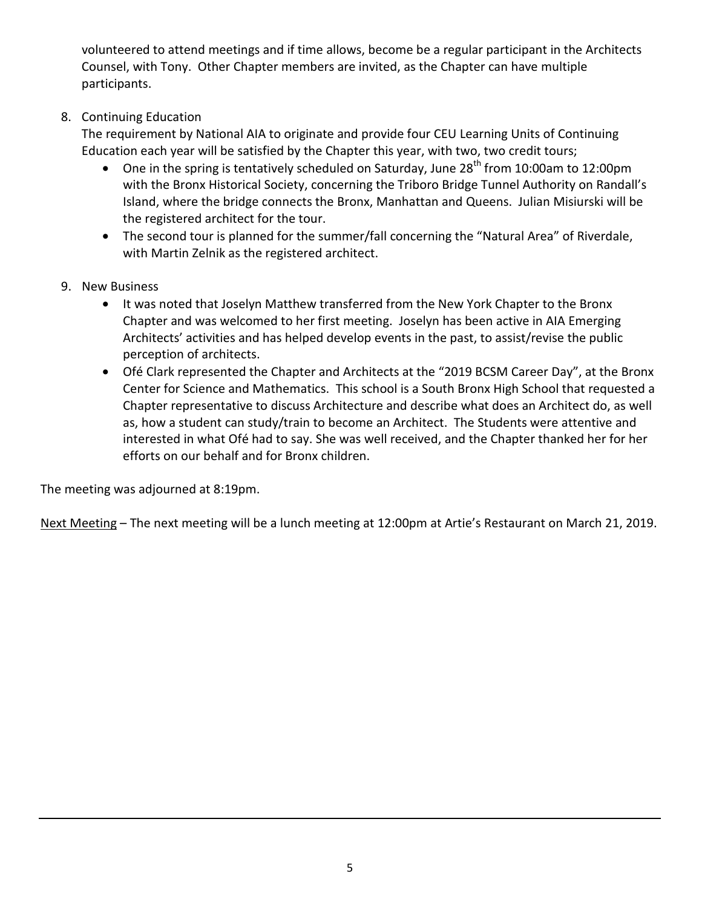volunteered to attend meetings and if time allows, become be a regular participant in the Architects Counsel, with Tony. Other Chapter members are invited, as the Chapter can have multiple participants.

### 8. Continuing Education

The requirement by National AIA to originate and provide four CEU Learning Units of Continuing Education each year will be satisfied by the Chapter this year, with two, two credit tours;

- One in the spring is tentatively scheduled on Saturday, June  $28<sup>th</sup>$  from 10:00am to 12:00pm with the Bronx Historical Society, concerning the Triboro Bridge Tunnel Authority on Randall's Island, where the bridge connects the Bronx, Manhattan and Queens. Julian Misiurski will be the registered architect for the tour.
- The second tour is planned for the summer/fall concerning the "Natural Area" of Riverdale, with Martin Zelnik as the registered architect.
- 9. New Business
	- It was noted that Joselyn Matthew transferred from the New York Chapter to the Bronx Chapter and was welcomed to her first meeting. Joselyn has been active in AIA Emerging Architects' activities and has helped develop events in the past, to assist/revise the public perception of architects.
	- Ofé Clark represented the Chapter and Architects at the "2019 BCSM Career Day", at the Bronx Center for Science and Mathematics. This school is a South Bronx High School that requested a Chapter representative to discuss Architecture and describe what does an Architect do, as well as, how a student can study/train to become an Architect. The Students were attentive and interested in what Ofé had to say. She was well received, and the Chapter thanked her for her efforts on our behalf and for Bronx children.

The meeting was adjourned at 8:19pm.

Next Meeting – The next meeting will be a lunch meeting at 12:00pm at Artie's Restaurant on March 21, 2019.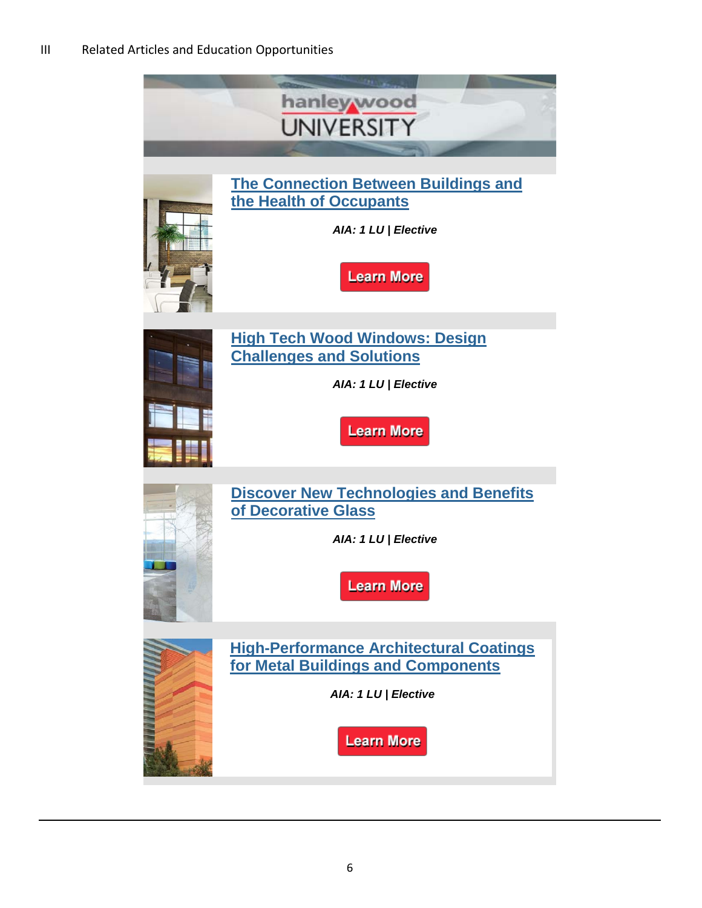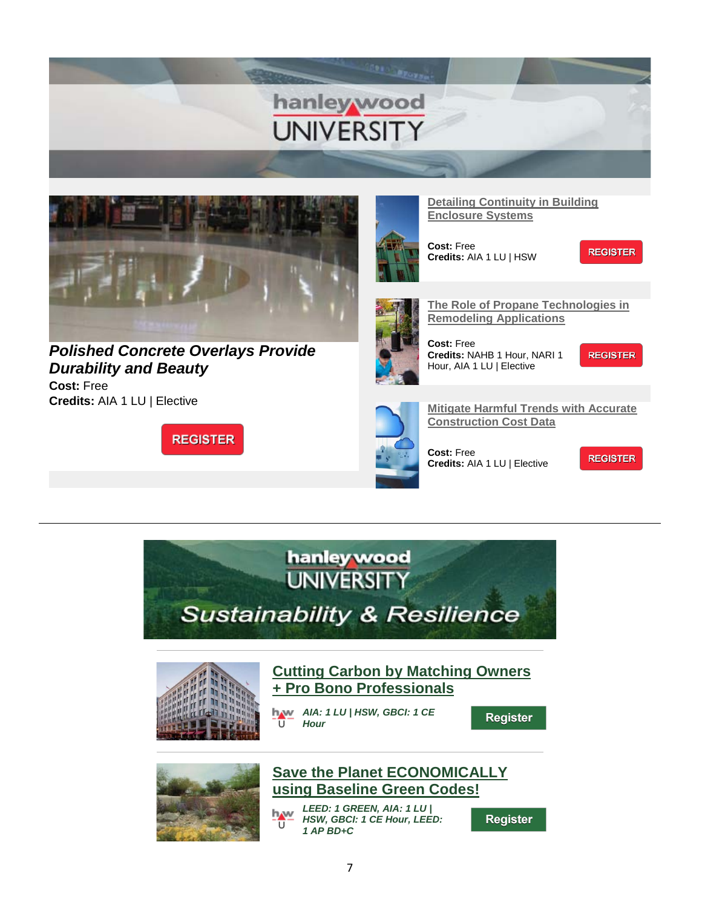



*[Polished Concrete Overlays Provide](https://linkprotect.cudasvc.com/url?a=http%3a%2f%2flinks.hanleywood.mkt6839.com%2fctt%3fkn%3d5%26ms%3dMzg5MTkwMzAS1%26r%3dMTA2ODM2MDg5OTM3S0%26b%3d0%26j%3dMTQ2MTY3NjM4OQS2%26mt%3d1%26rt%3d0&c=E,1,wNztoD-PWa_2JjQ0WtXZRsEv5hFqJ8SoOgv-xi09vJPxfcWr5W6kbUvqilCnkWBHZV_Afuls2G1US0ba0A705pUWrEq1uCmyggK8OkH1GxqAIz5swQi4oCqHiM0,&typo=1)  [Durability and Beauty](https://linkprotect.cudasvc.com/url?a=http%3a%2f%2flinks.hanleywood.mkt6839.com%2fctt%3fkn%3d5%26ms%3dMzg5MTkwMzAS1%26r%3dMTA2ODM2MDg5OTM3S0%26b%3d0%26j%3dMTQ2MTY3NjM4OQS2%26mt%3d1%26rt%3d0&c=E,1,wNztoD-PWa_2JjQ0WtXZRsEv5hFqJ8SoOgv-xi09vJPxfcWr5W6kbUvqilCnkWBHZV_Afuls2G1US0ba0A705pUWrEq1uCmyggK8OkH1GxqAIz5swQi4oCqHiM0,&typo=1)*

**Cost:** Free **Credits:** AIA 1 LU | Elective

**REGISTER** 



**Cost:** Free

**Credits:** AIA 1 LU | HSW



**[The Role of Propane Technologies in](https://linkprotect.cudasvc.com/url?a=http%3a%2f%2flinks.hanleywood.mkt6839.com%2fctt%3fkn%3d14%26ms%3dMzg5MTkwMzAS1%26r%3dMTA2ODM2MDg5OTM3S0%26b%3d0%26j%3dMTQ2MTY3NjM4OQS2%26mt%3d1%26rt%3d0&c=E,1,yOUynMdbKYb5fZIrdrw3dAui__piczC_Fa7rM7Rz_ZWCVHkJfZ5g36qrgFrfY6vG8lx4eCYaUqJCP7Tlzq-px64cpMg2JFEWZj08cHwHwEYvHQ,,&typo=1)  [Remodeling Applications](https://linkprotect.cudasvc.com/url?a=http%3a%2f%2flinks.hanleywood.mkt6839.com%2fctt%3fkn%3d14%26ms%3dMzg5MTkwMzAS1%26r%3dMTA2ODM2MDg5OTM3S0%26b%3d0%26j%3dMTQ2MTY3NjM4OQS2%26mt%3d1%26rt%3d0&c=E,1,yOUynMdbKYb5fZIrdrw3dAui__piczC_Fa7rM7Rz_ZWCVHkJfZ5g36qrgFrfY6vG8lx4eCYaUqJCP7Tlzq-px64cpMg2JFEWZj08cHwHwEYvHQ,,&typo=1)**

**Cost:** Free **Credits:** NAHB 1 Hour, NARI 1 Hour, AIA 1 LU | Elective

**REGISTER** 

**REGISTER** 



**[Mitigate Harmful Trends with Accurate](https://linkprotect.cudasvc.com/url?a=http%3a%2f%2flinks.hanleywood.mkt6839.com%2fctt%3fkn%3d6%26ms%3dMzg5MTkwMzAS1%26r%3dMTA2ODM2MDg5OTM3S0%26b%3d0%26j%3dMTQ2MTY3NjM4OQS2%26mt%3d1%26rt%3d0&c=E,1,5NG695bSULjDCi96lgsuu-Zg0P_URtBXRU33ivTTqCArsOUY1ivoIpOlC4UAd5_h77mv2XsuUzn_ov6f1itCnrCaSFHbzY5cWRLPNjHvU9baEL-NUoU7zA,,&typo=1)  [Construction Cost Data](https://linkprotect.cudasvc.com/url?a=http%3a%2f%2flinks.hanleywood.mkt6839.com%2fctt%3fkn%3d6%26ms%3dMzg5MTkwMzAS1%26r%3dMTA2ODM2MDg5OTM3S0%26b%3d0%26j%3dMTQ2MTY3NjM4OQS2%26mt%3d1%26rt%3d0&c=E,1,5NG695bSULjDCi96lgsuu-Zg0P_URtBXRU33ivTTqCArsOUY1ivoIpOlC4UAd5_h77mv2XsuUzn_ov6f1itCnrCaSFHbzY5cWRLPNjHvU9baEL-NUoU7zA,,&typo=1)**

**Cost:** Free **Credits:** AIA 1 LU | Elective

**REGISTER** 





### **[Cutting Carbon by Matching Owners](https://linkprotect.cudasvc.com/url?a=http%3a%2f%2flinks.hanleywood.mkt6839.com%2fctt%3fkn%3d10%26ms%3dMzg5MTQ0MzMS1%26r%3dMTA2ODM2MDg5OTM3S0%26b%3d0%26j%3dMTQ2MTY1MTE5NgS2%26mt%3d1%26rt%3d0&c=E,1,_6H-VgZ_kDDNUQznmP7hCvmKqQzV2BA09iStNnGzXhjdzxsydyuXAPNrRXEvW3khR-ZvZD_IN7DlNGYGoz_MpUQ2x9snMUA06mIy9IiA9g,,&typo=1)  [+ Pro Bono Professionals](https://linkprotect.cudasvc.com/url?a=http%3a%2f%2flinks.hanleywood.mkt6839.com%2fctt%3fkn%3d10%26ms%3dMzg5MTQ0MzMS1%26r%3dMTA2ODM2MDg5OTM3S0%26b%3d0%26j%3dMTQ2MTY1MTE5NgS2%26mt%3d1%26rt%3d0&c=E,1,_6H-VgZ_kDDNUQznmP7hCvmKqQzV2BA09iStNnGzXhjdzxsydyuXAPNrRXEvW3khR-ZvZD_IN7DlNGYGoz_MpUQ2x9snMUA06mIy9IiA9g,,&typo=1)**

*AIA: 1 LU | HSW, GBCI: 1 CE Hour*

Register



### **[Save the Planet ECONOMICALLY](https://linkprotect.cudasvc.com/url?a=http%3a%2f%2flinks.hanleywood.mkt6839.com%2fctt%3fkn%3d4%26ms%3dMzg5MTQ0MzMS1%26r%3dMTA2ODM2MDg5OTM3S0%26b%3d0%26j%3dMTQ2MTY1MTE5NgS2%26mt%3d1%26rt%3d0&c=E,1,jy1deVcbK_W_5gBCTS6php4hbXI8OHp-ilVqlmwx96003ucnz0nAdrH7meOiF6Pl4TVBxNcOlm2oiJ7GVeKZ-k3ujXkWkndhJaIpXBMnIddm&typo=1)  [using Baseline Green Codes!](https://linkprotect.cudasvc.com/url?a=http%3a%2f%2flinks.hanleywood.mkt6839.com%2fctt%3fkn%3d4%26ms%3dMzg5MTQ0MzMS1%26r%3dMTA2ODM2MDg5OTM3S0%26b%3d0%26j%3dMTQ2MTY1MTE5NgS2%26mt%3d1%26rt%3d0&c=E,1,jy1deVcbK_W_5gBCTS6php4hbXI8OHp-ilVqlmwx96003ucnz0nAdrH7meOiF6Pl4TVBxNcOlm2oiJ7GVeKZ-k3ujXkWkndhJaIpXBMnIddm&typo=1)**

*LEED: 1 GREEN, AIA: 1 LU |*  h.w *HSW, GBCI: 1 CE Hour, LEED:*  п *1 AP BD+C*

Register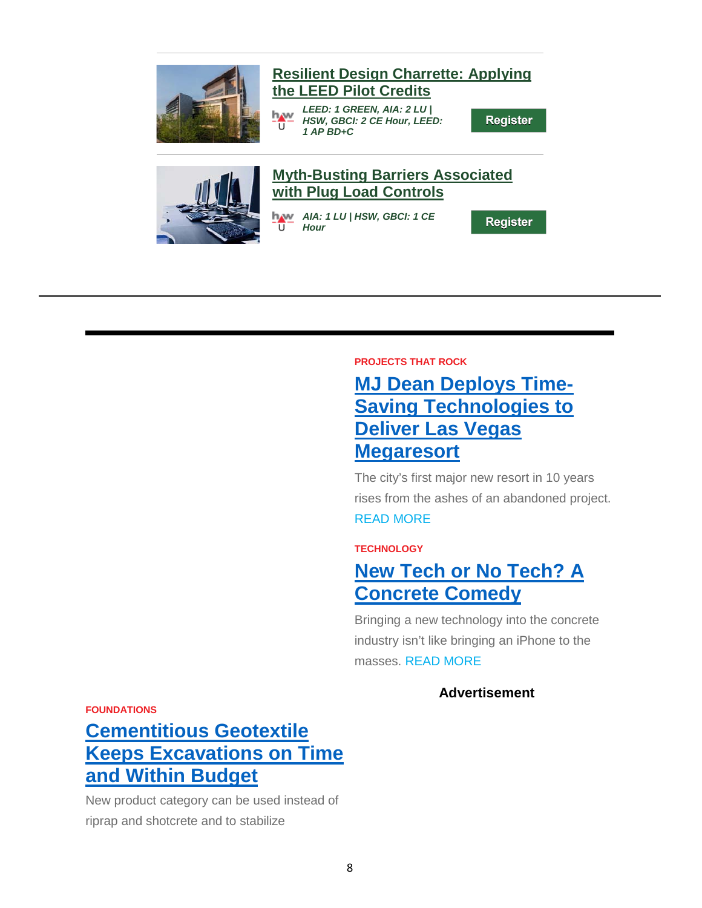

### **[Resilient Design Charrette: Applying](https://linkprotect.cudasvc.com/url?a=http%3a%2f%2flinks.hanleywood.mkt6839.com%2fctt%3fkn%3d7%26ms%3dMzg5MTQ0MzMS1%26r%3dMTA2ODM2MDg5OTM3S0%26b%3d0%26j%3dMTQ2MTY1MTE5NgS2%26mt%3d1%26rt%3d0&c=E,1,Jlxqip0mtZnE0uOnfHP4t7V4uBvT-WnLm7azDCcaWv-OX4bpDM5krg4Srlv2GXou-k2Ifo-uZQtbkefjC2irURUzxA7M0XfJGxBygb0_8iJylBA,&typo=1)  [the LEED Pilot Credits](https://linkprotect.cudasvc.com/url?a=http%3a%2f%2flinks.hanleywood.mkt6839.com%2fctt%3fkn%3d7%26ms%3dMzg5MTQ0MzMS1%26r%3dMTA2ODM2MDg5OTM3S0%26b%3d0%26j%3dMTQ2MTY1MTE5NgS2%26mt%3d1%26rt%3d0&c=E,1,Jlxqip0mtZnE0uOnfHP4t7V4uBvT-WnLm7azDCcaWv-OX4bpDM5krg4Srlv2GXou-k2Ifo-uZQtbkefjC2irURUzxA7M0XfJGxBygb0_8iJylBA,&typo=1)**

*LEED: 1 GREEN, AIA: 2 LU | HSW, GBCI: 2 CE Hour, LEED:*  π *1 AP BD+C*

Register



### **[Myth-Busting Barriers Associated](https://linkprotect.cudasvc.com/url?a=http%3a%2f%2flinks.hanleywood.mkt6839.com%2fctt%3fkn%3d3%26ms%3dMzg5MTQ0MzMS1%26r%3dMTA2ODM2MDg5OTM3S0%26b%3d0%26j%3dMTQ2MTY1MTE5NgS2%26mt%3d1%26rt%3d0&c=E,1,iR-mKlZfuIW0O2gvaxsKWsgY7fFHDE4QoUstqX8A6lA9SHRDqVuBWbqIWUt2aWoP0pRpjJD0Dv6_Hl9REn5nu1bhy6E2QPZruCsqRdu2adje62-PNG5ooZXOQng,&typo=1)  [with Plug Load Controls](https://linkprotect.cudasvc.com/url?a=http%3a%2f%2flinks.hanleywood.mkt6839.com%2fctt%3fkn%3d3%26ms%3dMzg5MTQ0MzMS1%26r%3dMTA2ODM2MDg5OTM3S0%26b%3d0%26j%3dMTQ2MTY1MTE5NgS2%26mt%3d1%26rt%3d0&c=E,1,iR-mKlZfuIW0O2gvaxsKWsgY7fFHDE4QoUstqX8A6lA9SHRDqVuBWbqIWUt2aWoP0pRpjJD0Dv6_Hl9REn5nu1bhy6E2QPZruCsqRdu2adje62-PNG5ooZXOQng,&typo=1)**

*AIA: 1 LU | HSW, GBCI: 1 CE*  ū *Hour*

Register

#### **PROJECTS THAT ROCK**

## **[MJ Dean Deploys Time-](https://linkprotect.cudasvc.com/url?a=http%3a%2f%2flinks.hanleywood.mkt6839.com%2fctt%3fkn%3d43%26ms%3dMzg4ODc1NzES1%26r%3dMTAyNzg4NDA4MzgxS0%26b%3d0%26j%3dMTQ2MTM0MTA0NAS2%26mt%3d1%26rt%3d0&c=E,1,R_BEEuw4VZxOzFGzO6SIJBM6Th6FtBxJ2xscqK3EWCfABLgJVQVDjQ9HTXEcHvvHzmfUIZ-4ojaY7uwn-ckHni_GxZNeiZjTa2Qe0Vhk&typo=1)[Saving Technologies to](https://linkprotect.cudasvc.com/url?a=http%3a%2f%2flinks.hanleywood.mkt6839.com%2fctt%3fkn%3d43%26ms%3dMzg4ODc1NzES1%26r%3dMTAyNzg4NDA4MzgxS0%26b%3d0%26j%3dMTQ2MTM0MTA0NAS2%26mt%3d1%26rt%3d0&c=E,1,R_BEEuw4VZxOzFGzO6SIJBM6Th6FtBxJ2xscqK3EWCfABLgJVQVDjQ9HTXEcHvvHzmfUIZ-4ojaY7uwn-ckHni_GxZNeiZjTa2Qe0Vhk&typo=1)  [Deliver Las Vegas](https://linkprotect.cudasvc.com/url?a=http%3a%2f%2flinks.hanleywood.mkt6839.com%2fctt%3fkn%3d43%26ms%3dMzg4ODc1NzES1%26r%3dMTAyNzg4NDA4MzgxS0%26b%3d0%26j%3dMTQ2MTM0MTA0NAS2%26mt%3d1%26rt%3d0&c=E,1,R_BEEuw4VZxOzFGzO6SIJBM6Th6FtBxJ2xscqK3EWCfABLgJVQVDjQ9HTXEcHvvHzmfUIZ-4ojaY7uwn-ckHni_GxZNeiZjTa2Qe0Vhk&typo=1)  [Megaresort](https://linkprotect.cudasvc.com/url?a=http%3a%2f%2flinks.hanleywood.mkt6839.com%2fctt%3fkn%3d43%26ms%3dMzg4ODc1NzES1%26r%3dMTAyNzg4NDA4MzgxS0%26b%3d0%26j%3dMTQ2MTM0MTA0NAS2%26mt%3d1%26rt%3d0&c=E,1,R_BEEuw4VZxOzFGzO6SIJBM6Th6FtBxJ2xscqK3EWCfABLgJVQVDjQ9HTXEcHvvHzmfUIZ-4ojaY7uwn-ckHni_GxZNeiZjTa2Qe0Vhk&typo=1)**

The city's first major new resort in 10 years rises from the ashes of an abandoned project. READ [MORE](https://linkprotect.cudasvc.com/url?a=http%3a%2f%2flinks.hanleywood.mkt6839.com%2fctt%3fkn%3d42%26ms%3dMzg4ODc1NzES1%26r%3dMTAyNzg4NDA4MzgxS0%26b%3d0%26j%3dMTQ2MTM0MTA0NAS2%26mt%3d1%26rt%3d0&c=E,1,LiZjc5l0-PpqI-dh8xZBnRuD25QqUKmIecLiHzYsgBTJoZqXRiI8jBCoxIQMUpV2rkjb51PweGiWsI-5-SKuoIuj8-dhix4I9IkfkXsa4yuOwsKszA,,&typo=1)

### **TECHNOLOGY**

## **[New Tech or No Tech? A](https://linkprotect.cudasvc.com/url?a=http%3a%2f%2flinks.hanleywood.mkt6839.com%2fctt%3fkn%3d38%26ms%3dMzg4ODc1NzES1%26r%3dMTAyNzg4NDA4MzgxS0%26b%3d0%26j%3dMTQ2MTM0MTA0NAS2%26mt%3d1%26rt%3d0&c=E,1,SkZIiDvsAlKt9jyasMY09Ku50d0B0jLcn1COMYwWsNrmiC8jsS908zo0S9V0_LYuvixQlYDY1_aSwTAv-a_SiXV-8pQB8GSoAoOoSWCIJ46faG2gUtlsEs8,&typo=1)  [Concrete Comedy](https://linkprotect.cudasvc.com/url?a=http%3a%2f%2flinks.hanleywood.mkt6839.com%2fctt%3fkn%3d38%26ms%3dMzg4ODc1NzES1%26r%3dMTAyNzg4NDA4MzgxS0%26b%3d0%26j%3dMTQ2MTM0MTA0NAS2%26mt%3d1%26rt%3d0&c=E,1,SkZIiDvsAlKt9jyasMY09Ku50d0B0jLcn1COMYwWsNrmiC8jsS908zo0S9V0_LYuvixQlYDY1_aSwTAv-a_SiXV-8pQB8GSoAoOoSWCIJ46faG2gUtlsEs8,&typo=1)**

Bringing a new technology into the concrete industry isn't like bringing an iPhone to the masses. [READ](https://linkprotect.cudasvc.com/url?a=http%3a%2f%2flinks.hanleywood.mkt6839.com%2fctt%3fkn%3d48%26ms%3dMzg4ODc1NzES1%26r%3dMTAyNzg4NDA4MzgxS0%26b%3d0%26j%3dMTQ2MTM0MTA0NAS2%26mt%3d1%26rt%3d0&c=E,1,vvyKHRkyjTAKTvLmfjTUxYnOQw2s9JXgwF6-jrFi6Y2LTAyLccsXseUM6PWMs9JU3v1iK_eynMSkc2Xi7vTH8cr9kGh_kVqXu4B6JBTufPOyYSQ4s58HD3S90A,,&typo=1) MORE

### **Advertisement**

**FOUNDATIONS**

# **[Cementitious Geotextile](https://linkprotect.cudasvc.com/url?a=http%3a%2f%2flinks.hanleywood.mkt6839.com%2fctt%3fkn%3d45%26ms%3dMzg4ODc1NzES1%26r%3dMTAyNzg4NDA4MzgxS0%26b%3d0%26j%3dMTQ2MTM0MTA0NAS2%26mt%3d1%26rt%3d0&c=E,1,YvTXbK3lrHxp_UF_uYGf1FKs4lhE-xwHyFmI09_ItNrVsNaDEhLnHjGfWEPVPRDgJKiTjosn5m4bPYokxYN-6ne262C2Qs7t7ExMpYH41OwafW1M-5wU&typo=1)  [Keeps Excavations on Time](https://linkprotect.cudasvc.com/url?a=http%3a%2f%2flinks.hanleywood.mkt6839.com%2fctt%3fkn%3d45%26ms%3dMzg4ODc1NzES1%26r%3dMTAyNzg4NDA4MzgxS0%26b%3d0%26j%3dMTQ2MTM0MTA0NAS2%26mt%3d1%26rt%3d0&c=E,1,YvTXbK3lrHxp_UF_uYGf1FKs4lhE-xwHyFmI09_ItNrVsNaDEhLnHjGfWEPVPRDgJKiTjosn5m4bPYokxYN-6ne262C2Qs7t7ExMpYH41OwafW1M-5wU&typo=1)  [and Within Budget](https://linkprotect.cudasvc.com/url?a=http%3a%2f%2flinks.hanleywood.mkt6839.com%2fctt%3fkn%3d45%26ms%3dMzg4ODc1NzES1%26r%3dMTAyNzg4NDA4MzgxS0%26b%3d0%26j%3dMTQ2MTM0MTA0NAS2%26mt%3d1%26rt%3d0&c=E,1,YvTXbK3lrHxp_UF_uYGf1FKs4lhE-xwHyFmI09_ItNrVsNaDEhLnHjGfWEPVPRDgJKiTjosn5m4bPYokxYN-6ne262C2Qs7t7ExMpYH41OwafW1M-5wU&typo=1)**

New product category can be used instead of riprap and shotcrete and to stabilize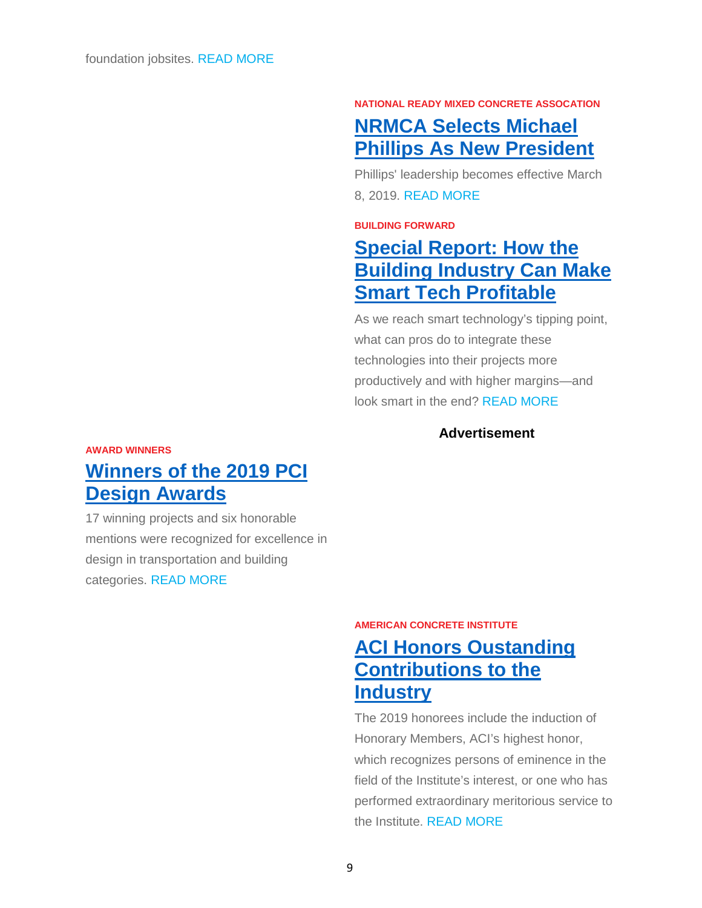#### **NATIONAL READY MIXED CONCRETE ASSOCATION**

## **[NRMCA Selects Michael](https://linkprotect.cudasvc.com/url?a=http%3a%2f%2flinks.hanleywood.mkt6839.com%2fctt%3fkn%3d10%26ms%3dMzg4ODc1NzES1%26r%3dMTAyNzg4NDA4MzgxS0%26b%3d0%26j%3dMTQ2MTM0MTA0NAS2%26mt%3d1%26rt%3d0&c=E,1,vB3wmY7luYDJmERAmd0pUX_nQjA2HF-H52jEP8MBPkZ6IZ04_iQQ4MJkujyp1FjmmloPbcFsYj4QDbv8TCchpqYPy7ZCZposscBy8G2yr_p3L0KIOs6KSw,,&typo=1)  Phillips As New President**

Phillips' leadership becomes effective March 8, 2019. READ [MORE](https://linkprotect.cudasvc.com/url?a=http%3a%2f%2flinks.hanleywood.mkt6839.com%2fctt%3fkn%3d8%26ms%3dMzg4ODc1NzES1%26r%3dMTAyNzg4NDA4MzgxS0%26b%3d0%26j%3dMTQ2MTM0MTA0NAS2%26mt%3d1%26rt%3d0&c=E,1,kjIu69z9dmI8NzVLSVMXJ4mAbqe5dGvktDdf-IyPmyqD8Paem08Es1LPlQIlK8dn9_xAGAcfQEG_t_9cIsEI1rkAK7lRE9sHNi6z8dH-Srg,&typo=1)

#### **BUILDING FORWARD**

## **[Special Report: How the](https://linkprotect.cudasvc.com/url?a=http%3a%2f%2flinks.hanleywood.mkt6839.com%2fctt%3fkn%3d12%26ms%3dMzg4ODc1NzES1%26r%3dMTAyNzg4NDA4MzgxS0%26b%3d0%26j%3dMTQ2MTM0MTA0NAS2%26mt%3d1%26rt%3d0&c=E,1,LXY0pYcbkP0MNew5QTMeefos_W9skkJ9lJ-SP1Gubz9PDSlH8c6AsJnRPI1Cu3VDPBNrWt1gRBbxKkEpCkmn0PdJVo7Jd8TmfxpiAEjrwsbfVxA5TG36K8kjgw,,&typo=1)  [Building Industry Can Make](https://linkprotect.cudasvc.com/url?a=http%3a%2f%2flinks.hanleywood.mkt6839.com%2fctt%3fkn%3d12%26ms%3dMzg4ODc1NzES1%26r%3dMTAyNzg4NDA4MzgxS0%26b%3d0%26j%3dMTQ2MTM0MTA0NAS2%26mt%3d1%26rt%3d0&c=E,1,LXY0pYcbkP0MNew5QTMeefos_W9skkJ9lJ-SP1Gubz9PDSlH8c6AsJnRPI1Cu3VDPBNrWt1gRBbxKkEpCkmn0PdJVo7Jd8TmfxpiAEjrwsbfVxA5TG36K8kjgw,,&typo=1)  [Smart Tech Profitable](https://linkprotect.cudasvc.com/url?a=http%3a%2f%2flinks.hanleywood.mkt6839.com%2fctt%3fkn%3d12%26ms%3dMzg4ODc1NzES1%26r%3dMTAyNzg4NDA4MzgxS0%26b%3d0%26j%3dMTQ2MTM0MTA0NAS2%26mt%3d1%26rt%3d0&c=E,1,LXY0pYcbkP0MNew5QTMeefos_W9skkJ9lJ-SP1Gubz9PDSlH8c6AsJnRPI1Cu3VDPBNrWt1gRBbxKkEpCkmn0PdJVo7Jd8TmfxpiAEjrwsbfVxA5TG36K8kjgw,,&typo=1)**

As we reach smart technology's tipping point, what can pros do to integrate these technologies into their projects more productively and with higher margins—and look smart in the end? [READ](https://linkprotect.cudasvc.com/url?a=http%3a%2f%2flinks.hanleywood.mkt6839.com%2fctt%3fkn%3d18%26ms%3dMzg4ODc1NzES1%26r%3dMTAyNzg4NDA4MzgxS0%26b%3d0%26j%3dMTQ2MTM0MTA0NAS2%26mt%3d1%26rt%3d0&c=E,1,FPvd8y6w7rP3Awbmuzn1qycp0oJj1pP1KGpZkfUqAmANexBcFXA6DmwJRO6i3XJTRAofvjaINpodp73WL0nUHsjT0PZcYrWiwXjEKo4msktr&typo=1) MORE

### **Advertisement**

#### **AWARD WINNERS**

## **[Winners of the 2019 PCI](https://linkprotect.cudasvc.com/url?a=http%3a%2f%2flinks.hanleywood.mkt6839.com%2fctt%3fkn%3d21%26ms%3dMzg4ODc1NzES1%26r%3dMTAyNzg4NDA4MzgxS0%26b%3d0%26j%3dMTQ2MTM0MTA0NAS2%26mt%3d1%26rt%3d0&c=E,1,31MSKiBqBX_VRw-patiIvDaRrTheJ9QMd2WaO8XdgXYp5d20X3uwWhTcX_gN97ELmJv4csY5JuDR4zjCdMezhR7KtnZs1glVolCLzet6Gs-8VGFUbjY,&typo=1)  [Design Awards](https://linkprotect.cudasvc.com/url?a=http%3a%2f%2flinks.hanleywood.mkt6839.com%2fctt%3fkn%3d21%26ms%3dMzg4ODc1NzES1%26r%3dMTAyNzg4NDA4MzgxS0%26b%3d0%26j%3dMTQ2MTM0MTA0NAS2%26mt%3d1%26rt%3d0&c=E,1,31MSKiBqBX_VRw-patiIvDaRrTheJ9QMd2WaO8XdgXYp5d20X3uwWhTcX_gN97ELmJv4csY5JuDR4zjCdMezhR7KtnZs1glVolCLzet6Gs-8VGFUbjY,&typo=1)**

17 winning projects and six honorable mentions were recognized for excellence in design in transportation and building categories. [READ](https://linkprotect.cudasvc.com/url?a=http%3a%2f%2flinks.hanleywood.mkt6839.com%2fctt%3fkn%3d20%26ms%3dMzg4ODc1NzES1%26r%3dMTAyNzg4NDA4MzgxS0%26b%3d0%26j%3dMTQ2MTM0MTA0NAS2%26mt%3d1%26rt%3d0&c=E,1,5mAELCJgFm-4h-MKAw6OPfhGNeLtBm-tkvq6Fa5u43hfjFfySXrW8rZFHGr76lFFcSjjA1UmC6nAWvOxjwcfUJCkHA38KN4a5KP5QGIJT-8_CnMIyearyG8tDIY,&typo=1) MORE

#### **AMERICAN CONCRETE INSTITUTE**

## **[ACI Honors Oustanding](https://linkprotect.cudasvc.com/url?a=http%3a%2f%2flinks.hanleywood.mkt6839.com%2fctt%3fkn%3d29%26ms%3dMzg4ODc1NzES1%26r%3dMTAyNzg4NDA4MzgxS0%26b%3d0%26j%3dMTQ2MTM0MTA0NAS2%26mt%3d1%26rt%3d0&c=E,1,yh6g0QAnl77w3I3G5BFuBMpn3TPVeaTo8XyXSQrtFZ_NBhb4rfRGqumAlNmxWXs2oEN_pys2cTWqw49RLt6g1tbAA_P-doSI5iWGo9pqnqYrlm3EyLgAQp3y&typo=1)  [Contributions to the](https://linkprotect.cudasvc.com/url?a=http%3a%2f%2flinks.hanleywood.mkt6839.com%2fctt%3fkn%3d29%26ms%3dMzg4ODc1NzES1%26r%3dMTAyNzg4NDA4MzgxS0%26b%3d0%26j%3dMTQ2MTM0MTA0NAS2%26mt%3d1%26rt%3d0&c=E,1,yh6g0QAnl77w3I3G5BFuBMpn3TPVeaTo8XyXSQrtFZ_NBhb4rfRGqumAlNmxWXs2oEN_pys2cTWqw49RLt6g1tbAA_P-doSI5iWGo9pqnqYrlm3EyLgAQp3y&typo=1)  [Industry](https://linkprotect.cudasvc.com/url?a=http%3a%2f%2flinks.hanleywood.mkt6839.com%2fctt%3fkn%3d29%26ms%3dMzg4ODc1NzES1%26r%3dMTAyNzg4NDA4MzgxS0%26b%3d0%26j%3dMTQ2MTM0MTA0NAS2%26mt%3d1%26rt%3d0&c=E,1,yh6g0QAnl77w3I3G5BFuBMpn3TPVeaTo8XyXSQrtFZ_NBhb4rfRGqumAlNmxWXs2oEN_pys2cTWqw49RLt6g1tbAA_P-doSI5iWGo9pqnqYrlm3EyLgAQp3y&typo=1)**

The 2019 honorees include the induction of Honorary Members, ACI's highest honor, which recognizes persons of eminence in the field of the Institute's interest, or one who has performed extraordinary meritorious service to the Institute. [READ](https://linkprotect.cudasvc.com/url?a=http%3a%2f%2flinks.hanleywood.mkt6839.com%2fctt%3fkn%3d28%26ms%3dMzg4ODc1NzES1%26r%3dMTAyNzg4NDA4MzgxS0%26b%3d0%26j%3dMTQ2MTM0MTA0NAS2%26mt%3d1%26rt%3d0&c=E,1,4nXJiqAhp7Tpc20Cx-ABe1itcFF4MRBGmtzLUfk_ZlN6Enhvme0EJUOD-DG635janIN72TGwHG9Qd-zeXWzA2UHW25PDVpDXHK6yfSxd-Obi&typo=1) MORE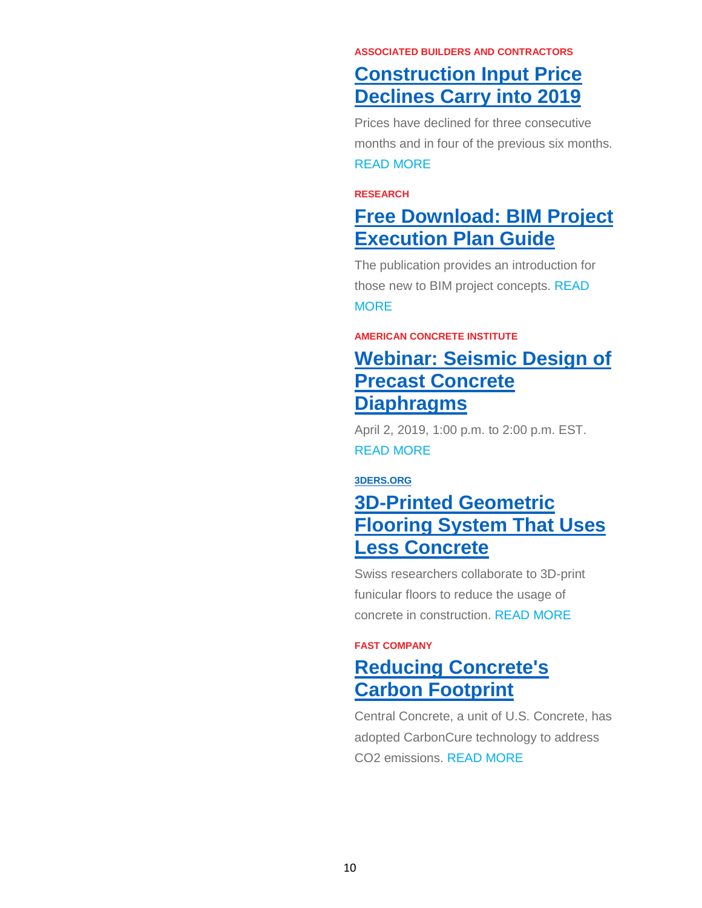#### **ASSOCIATED BUILDERS AND CONTRACTORS**

## **[Construction Input Price](https://linkprotect.cudasvc.com/url?a=http%3a%2f%2flinks.hanleywood.mkt6839.com%2fctt%3fkn%3d30%26ms%3dMzg4ODc1NzES1%26r%3dMTAyNzg4NDA4MzgxS0%26b%3d0%26j%3dMTQ2MTM0MTA0NAS2%26mt%3d1%26rt%3d0&c=E,1,GsRdTa4ktViSC4BEls3u43Spsk6p4Xnk7X0jX0mYsW39Mgbi5ZKzh4rhqnYF6OIgF5oxx1eb4FEe7OLKnKsqpsGxu0vintSdlnQzXXisyGRJLg,,&typo=1)  [Declines Carry into 2019](https://linkprotect.cudasvc.com/url?a=http%3a%2f%2flinks.hanleywood.mkt6839.com%2fctt%3fkn%3d30%26ms%3dMzg4ODc1NzES1%26r%3dMTAyNzg4NDA4MzgxS0%26b%3d0%26j%3dMTQ2MTM0MTA0NAS2%26mt%3d1%26rt%3d0&c=E,1,GsRdTa4ktViSC4BEls3u43Spsk6p4Xnk7X0jX0mYsW39Mgbi5ZKzh4rhqnYF6OIgF5oxx1eb4FEe7OLKnKsqpsGxu0vintSdlnQzXXisyGRJLg,,&typo=1)**

Prices have declined for three consecutive months and in four of the previous six months. READ [MORE](https://linkprotect.cudasvc.com/url?a=http%3a%2f%2flinks.hanleywood.mkt6839.com%2fctt%3fkn%3d34%26ms%3dMzg4ODc1NzES1%26r%3dMTAyNzg4NDA4MzgxS0%26b%3d0%26j%3dMTQ2MTM0MTA0NAS2%26mt%3d1%26rt%3d0&c=E,1,oPEXoW8uif-Xe2SJoexH3LqXX_mjks9AQ6eLN3IKVA36JImG1tCC_Ldgq9DRFuES0hm1VaRUQgwmdvofFt5OzmYr1aRFaHbBlp4VO7iX6x-zQ2LnHq1BNA,,&typo=1)

#### **RESEARCH**

## **[Free Download: BIM Project](https://linkprotect.cudasvc.com/url?a=http%3a%2f%2flinks.hanleywood.mkt6839.com%2fctt%3fkn%3d37%26ms%3dMzg4ODc1NzES1%26r%3dMTAyNzg4NDA4MzgxS0%26b%3d0%26j%3dMTQ2MTM0MTA0NAS2%26mt%3d1%26rt%3d0&c=E,1,wtdzfZqN6YgHdmxVShDiFJinyfKZigDOqdFA6emNG4l9wYbIsk8mwnuW0AJufrwPQK-O7-GtN5dsZ_zHwQKaeEXXAFjAYWTn_2aVzGRGLaiIRg,,&typo=1)  [Execution Plan Guide](https://linkprotect.cudasvc.com/url?a=http%3a%2f%2flinks.hanleywood.mkt6839.com%2fctt%3fkn%3d37%26ms%3dMzg4ODc1NzES1%26r%3dMTAyNzg4NDA4MzgxS0%26b%3d0%26j%3dMTQ2MTM0MTA0NAS2%26mt%3d1%26rt%3d0&c=E,1,wtdzfZqN6YgHdmxVShDiFJinyfKZigDOqdFA6emNG4l9wYbIsk8mwnuW0AJufrwPQK-O7-GtN5dsZ_zHwQKaeEXXAFjAYWTn_2aVzGRGLaiIRg,,&typo=1)**

The publication provides an introduction for those new to BIM project concepts. [READ](https://linkprotect.cudasvc.com/url?a=http%3a%2f%2flinks.hanleywood.mkt6839.com%2fctt%3fkn%3d36%26ms%3dMzg4ODc1NzES1%26r%3dMTAyNzg4NDA4MzgxS0%26b%3d0%26j%3dMTQ2MTM0MTA0NAS2%26mt%3d1%26rt%3d0&c=E,1,Q5OEB8jArsO7dW2qyTqbRABrLXp_c4mDUWpTU5wc_H7obHePLOBg4iGWUaPAXlrP_mJJ5d6yhW7GAj7J8Uq4wjhlJkF4Z7icibq2VM8sSNgW86bq-VbA1w,,&typo=1) **[MORE](https://linkprotect.cudasvc.com/url?a=http%3a%2f%2flinks.hanleywood.mkt6839.com%2fctt%3fkn%3d36%26ms%3dMzg4ODc1NzES1%26r%3dMTAyNzg4NDA4MzgxS0%26b%3d0%26j%3dMTQ2MTM0MTA0NAS2%26mt%3d1%26rt%3d0&c=E,1,Q5OEB8jArsO7dW2qyTqbRABrLXp_c4mDUWpTU5wc_H7obHePLOBg4iGWUaPAXlrP_mJJ5d6yhW7GAj7J8Uq4wjhlJkF4Z7icibq2VM8sSNgW86bq-VbA1w,,&typo=1)** 

#### **AMERICAN CONCRETE INSTITUTE**

## **[Webinar: Seismic Design of](https://linkprotect.cudasvc.com/url?a=http%3a%2f%2flinks.hanleywood.mkt6839.com%2fctt%3fkn%3d39%26ms%3dMzg4ODc1NzES1%26r%3dMTAyNzg4NDA4MzgxS0%26b%3d0%26j%3dMTQ2MTM0MTA0NAS2%26mt%3d1%26rt%3d0&c=E,1,XKFxhgslcgrkAQ8Eoc8GpyRK2ct_6I6FE2TNxr6WW3DiHwY_BjWV71tHqJam3K-sJuW6I57s_rTjiJyOKIoAfna85OPL0fsQCcLUdhoQDTdBjbIMOZ8d6Ubx&typo=1)  [Precast Concrete](https://linkprotect.cudasvc.com/url?a=http%3a%2f%2flinks.hanleywood.mkt6839.com%2fctt%3fkn%3d39%26ms%3dMzg4ODc1NzES1%26r%3dMTAyNzg4NDA4MzgxS0%26b%3d0%26j%3dMTQ2MTM0MTA0NAS2%26mt%3d1%26rt%3d0&c=E,1,XKFxhgslcgrkAQ8Eoc8GpyRK2ct_6I6FE2TNxr6WW3DiHwY_BjWV71tHqJam3K-sJuW6I57s_rTjiJyOKIoAfna85OPL0fsQCcLUdhoQDTdBjbIMOZ8d6Ubx&typo=1)  [Diaphragms](https://linkprotect.cudasvc.com/url?a=http%3a%2f%2flinks.hanleywood.mkt6839.com%2fctt%3fkn%3d39%26ms%3dMzg4ODc1NzES1%26r%3dMTAyNzg4NDA4MzgxS0%26b%3d0%26j%3dMTQ2MTM0MTA0NAS2%26mt%3d1%26rt%3d0&c=E,1,XKFxhgslcgrkAQ8Eoc8GpyRK2ct_6I6FE2TNxr6WW3DiHwY_BjWV71tHqJam3K-sJuW6I57s_rTjiJyOKIoAfna85OPL0fsQCcLUdhoQDTdBjbIMOZ8d6Ubx&typo=1)**

April 2, 2019, 1:00 p.m. to 2:00 p.m. EST. READ [MORE](https://linkprotect.cudasvc.com/url?a=http%3a%2f%2flinks.hanleywood.mkt6839.com%2fctt%3fkn%3d3%26ms%3dMzg4ODc1NzES1%26r%3dMTAyNzg4NDA4MzgxS0%26b%3d0%26j%3dMTQ2MTM0MTA0NAS2%26mt%3d1%26rt%3d0&c=E,1,OIOI80FTV_kEsw8e7fTVSQp3ezwoxZbv6FTlQjm7Q2C4M98ueiY70Xo652BePVoEBiid9yCOYDFiWPXQvUUbs97D3xUXah3yGTF9HtOl0g,,&typo=1)

#### **[3DERS.ORG](https://linkprotect.cudasvc.com/url?a=https%3a%2f%2f3ders.org&c=E,1,A0wS-fSuzmD42XS_widSH6_zcgfuv12TuDiPBDBNi6V1OnEAUxTkKuzhPtKAbw2rJPABoi8hIJhRUCboPzz_j9tJnoA03oKcmbi3aLN7usM,&typo=1)**

## **[3D-Printed Geometric](https://linkprotect.cudasvc.com/url?a=http%3a%2f%2flinks.hanleywood.mkt6839.com%2fctt%3fkn%3d6%26ms%3dMzg4ODc1NzES1%26r%3dMTAyNzg4NDA4MzgxS0%26b%3d0%26j%3dMTQ2MTM0MTA0NAS2%26mt%3d1%26rt%3d0&c=E,1,q8tM7Yx07KCAGVwmO3YHsD4j6MQgy5FvRndsMTJ3DxKqkTi5wPaa744Gn7pUcqdY9OgsyiU4dvtNeoDSY3i-eOHpGHWQtpBJ5Uvz3J5D&typo=1)  [Flooring System That Uses](https://linkprotect.cudasvc.com/url?a=http%3a%2f%2flinks.hanleywood.mkt6839.com%2fctt%3fkn%3d6%26ms%3dMzg4ODc1NzES1%26r%3dMTAyNzg4NDA4MzgxS0%26b%3d0%26j%3dMTQ2MTM0MTA0NAS2%26mt%3d1%26rt%3d0&c=E,1,q8tM7Yx07KCAGVwmO3YHsD4j6MQgy5FvRndsMTJ3DxKqkTi5wPaa744Gn7pUcqdY9OgsyiU4dvtNeoDSY3i-eOHpGHWQtpBJ5Uvz3J5D&typo=1)  [Less Concrete](https://linkprotect.cudasvc.com/url?a=http%3a%2f%2flinks.hanleywood.mkt6839.com%2fctt%3fkn%3d6%26ms%3dMzg4ODc1NzES1%26r%3dMTAyNzg4NDA4MzgxS0%26b%3d0%26j%3dMTQ2MTM0MTA0NAS2%26mt%3d1%26rt%3d0&c=E,1,q8tM7Yx07KCAGVwmO3YHsD4j6MQgy5FvRndsMTJ3DxKqkTi5wPaa744Gn7pUcqdY9OgsyiU4dvtNeoDSY3i-eOHpGHWQtpBJ5Uvz3J5D&typo=1)**

Swiss researchers collaborate to 3D-print funicular floors to reduce the usage of concrete in construction. [READ](https://linkprotect.cudasvc.com/url?a=http%3a%2f%2flinks.hanleywood.mkt6839.com%2fctt%3fkn%3d11%26ms%3dMzg4ODc1NzES1%26r%3dMTAyNzg4NDA4MzgxS0%26b%3d0%26j%3dMTQ2MTM0MTA0NAS2%26mt%3d1%26rt%3d0&c=E,1,EDn4NJGtz8sPn07OnjMfSgFKG3OXlU45mv2oZCRfSsbBvPzm8rV2Y3SMF2gnkl0yJT5VAqDaqVR3Sw8-8tUYS8R2LuVXHm_yk78tkGjX8RU4KQ,,&typo=1) MORE

#### **FAST COMPANY**

## **[Reducing Concrete's](https://linkprotect.cudasvc.com/url?a=http%3a%2f%2flinks.hanleywood.mkt6839.com%2fctt%3fkn%3d15%26ms%3dMzg4ODc1NzES1%26r%3dMTAyNzg4NDA4MzgxS0%26b%3d0%26j%3dMTQ2MTM0MTA0NAS2%26mt%3d1%26rt%3d0&c=E,1,QCD6iNrdIDE0dO7SSaFvy1neSK5qMQw3SnUfD-2axwAsxYqRBzkyKM3IoKsIisdolyBM7xAfWv8ElewYpuYt3U131B69A7zBidUj1P8WjBud1ps3w9gxPg,,&typo=1)  [Carbon Footprint](https://linkprotect.cudasvc.com/url?a=http%3a%2f%2flinks.hanleywood.mkt6839.com%2fctt%3fkn%3d15%26ms%3dMzg4ODc1NzES1%26r%3dMTAyNzg4NDA4MzgxS0%26b%3d0%26j%3dMTQ2MTM0MTA0NAS2%26mt%3d1%26rt%3d0&c=E,1,QCD6iNrdIDE0dO7SSaFvy1neSK5qMQw3SnUfD-2axwAsxYqRBzkyKM3IoKsIisdolyBM7xAfWv8ElewYpuYt3U131B69A7zBidUj1P8WjBud1ps3w9gxPg,,&typo=1)**

Central Concrete, a unit of U.S. Concrete, has adopted CarbonCure technology to address CO2 emissions. READ [MORE](https://linkprotect.cudasvc.com/url?a=http%3a%2f%2flinks.hanleywood.mkt6839.com%2fctt%3fkn%3d13%26ms%3dMzg4ODc1NzES1%26r%3dMTAyNzg4NDA4MzgxS0%26b%3d0%26j%3dMTQ2MTM0MTA0NAS2%26mt%3d1%26rt%3d0&c=E,1,ONXwAs1cBZfSqwJMHQSE5mkicV9uA5RWj6oU3QwTGFKHX9BggMtpw4MHh27HJYivur-JX0-J5RCLX5Wq4iU6-0QXeRWOvE0mvdif8BXHA3G_auL6rvTfEcVpn-8,&typo=1)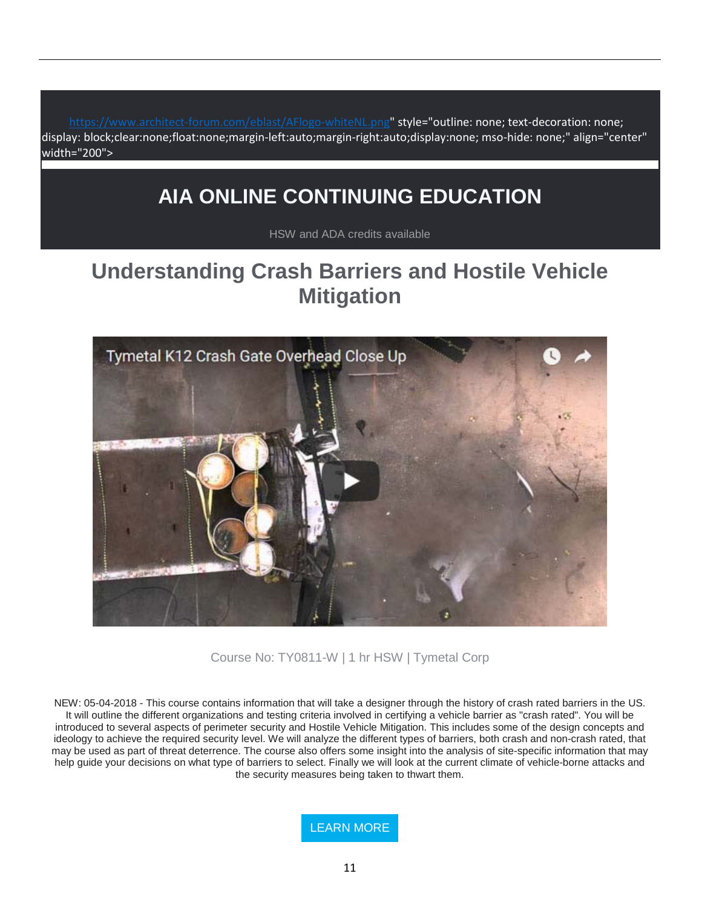[https://www.architect-forum.com/eblast/AFlogo-whiteNL.png"](https://www.architect-forum.com/eblast/AFlogo-whiteNL.png) style="outline: none; text-decoration: none; display: block;clear:none;float:none;margin-left:auto;margin-right:auto;display:none; mso-hide: none;" align="center" width="200">

# **AIA ONLINE CONTINUING EDUCATION**

HSW and ADA credits available

# **Understanding Crash Barriers and Hostile Vehicle Mitigation**



Course No: TY0811-W | 1 hr HSW | Tymetal Corp

NEW: 05-04-2018 - This course contains information that will take a designer through the history of crash rated barriers in the US. It will outline the different organizations and testing criteria involved in certifying a vehicle barrier as "crash rated". You will be introduced to several aspects of perimeter security and Hostile Vehicle Mitigation. This includes some of the design concepts and ideology to achieve the required security level. We will analyze the different types of barriers, both crash and non-crash rated, that may be used as part of threat deterrence. The course also offers some insight into the analysis of site-specific information that may help guide your decisions on what type of barriers to select. Finally we will look at the current climate of vehicle-borne attacks and the security measures being taken to thwart them.

[LEARN MORE](https://linkprotect.cudasvc.com/url?a=http%3a%2f%2fnewsletter.architect-forum.com%3a8080%2ft.aspx%3fS%3d1%26ID%3d4631%26NL%3d2%26N%3d1162%26SI%3d2271%26URL%3dhttp%253a%252f%252flms.architect-forum.com%252fsubscribe.php%253fcourse_id%253d267&c=E,1,a7JUSRUXonw3t9rmF78QiOY3rBLCp0iZDUakVIeWN1s5gSgc7B08bvQJ55vI--ra25_Y9U2sdMLwL_hKx9t2f6aLTeTQlSA4k4pZqRhZXer-K0AX&typo=1)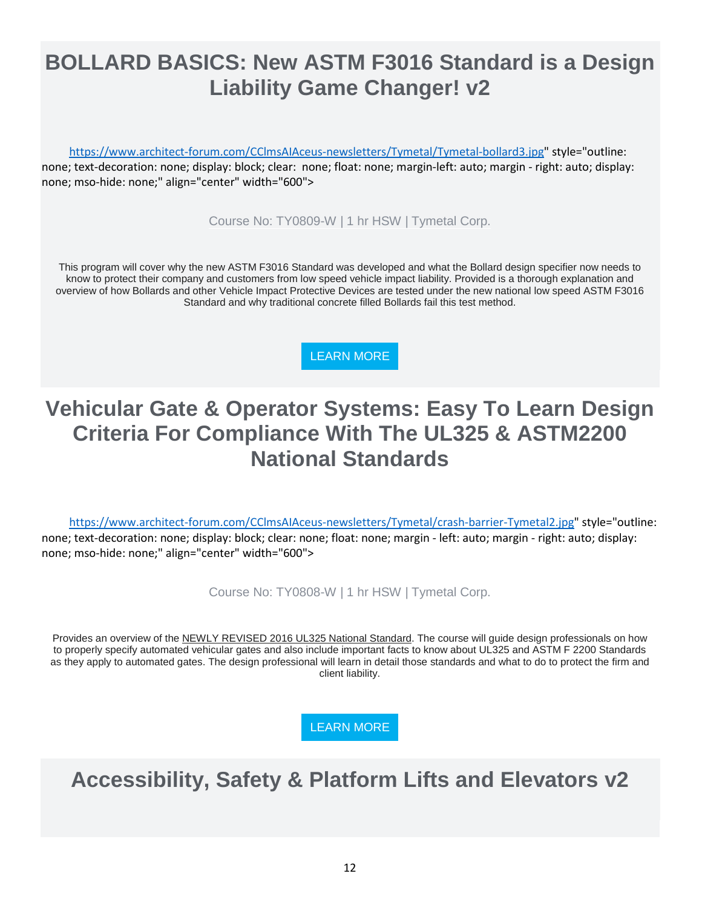# **BOLLARD BASICS: New ASTM F3016 Standard is a Design Liability Game Changer! v2**

[https://www.architect-forum.com/CClmsAIAceus-newsletters/Tymetal/Tymetal-bollard3.jpg"](https://www.architect-forum.com/CClmsAIAceus-newsletters/Tymetal/Tymetal-bollard3.jpg) style="outline: none; text-decoration: none; display: block; clear: none; float: none; margin-left: auto; margin - right: auto; display: none; mso-hide: none;" align="center" width="600">

Course No: TY0809-W | 1 hr HSW | Tymetal Corp.

This program will cover why the new ASTM F3016 Standard was developed and what the Bollard design specifier now needs to know to protect their company and customers from low speed vehicle impact liability. Provided is a thorough explanation and overview of how Bollards and other Vehicle Impact Protective Devices are tested under the new national low speed ASTM F3016 Standard and why traditional concrete filled Bollards fail this test method.

[LEARN MORE](https://linkprotect.cudasvc.com/url?a=http%3a%2f%2fnewsletter.architect-forum.com%3a8080%2ft.aspx%3fS%3d1%26ID%3d4631%26NL%3d2%26N%3d1162%26SI%3d2271%26URL%3dhttp%253a%252f%252flms.architect-forum.com%252fsubscribe.php%253fcourse_id%253d264&c=E,1,APwutAAeTZgAQmWIy8ZNVfJpmAtUPlp2OfJtjXO0cx5XayGXU9r3S2_g8FHjI31_SmkE0DT00VoS07TLFQV8k9aa0qmgYWbZ0l3Zc57F8rH-&typo=1)

# **Vehicular Gate & Operator Systems: Easy To Learn Design Criteria For Compliance With The UL325 & ASTM2200 National Standards**

[https://www.architect-forum.com/CClmsAIAceus-newsletters/Tymetal/crash-barrier-Tymetal2.jpg"](https://www.architect-forum.com/CClmsAIAceus-newsletters/Tymetal/crash-barrier-Tymetal2.jpg) style="outline: none; text-decoration: none; display: block; clear: none; float: none; margin - left: auto; margin - right: auto; display: none; mso-hide: none;" align="center" width="600">

Course No: TY0808-W | 1 hr HSW | Tymetal Corp.

Provides an overview of the NEWLY REVISED 2016 UL325 National Standard. The course will guide design professionals on how to properly specify automated vehicular gates and also include important facts to know about UL325 and ASTM F 2200 Standards as they apply to automated gates. The design professional will learn in detail those standards and what to do to protect the firm and client liability.

[LEARN MORE](https://linkprotect.cudasvc.com/url?a=http%3a%2f%2fnewsletter.architect-forum.com%3a8080%2ft.aspx%3fS%3d1%26ID%3d4631%26NL%3d2%26N%3d1162%26SI%3d2271%26URL%3dhttp%253a%252f%252flms.architect-forum.com%252fsubscribe.php%253fcourse_id%253d249&c=E,1,uGeS96qgoRGiTEwv7tgI2nR_5j1MBB8GO4sighDyHoMZnqjWcn-JszhxEGT_Z9__ET4Wd0uEVQ1s6m6Ndbklg4_L26zNi5IDirU0ii9sFxQlX7d9&typo=1)

# **Accessibility, Safety & Platform Lifts and Elevators v2**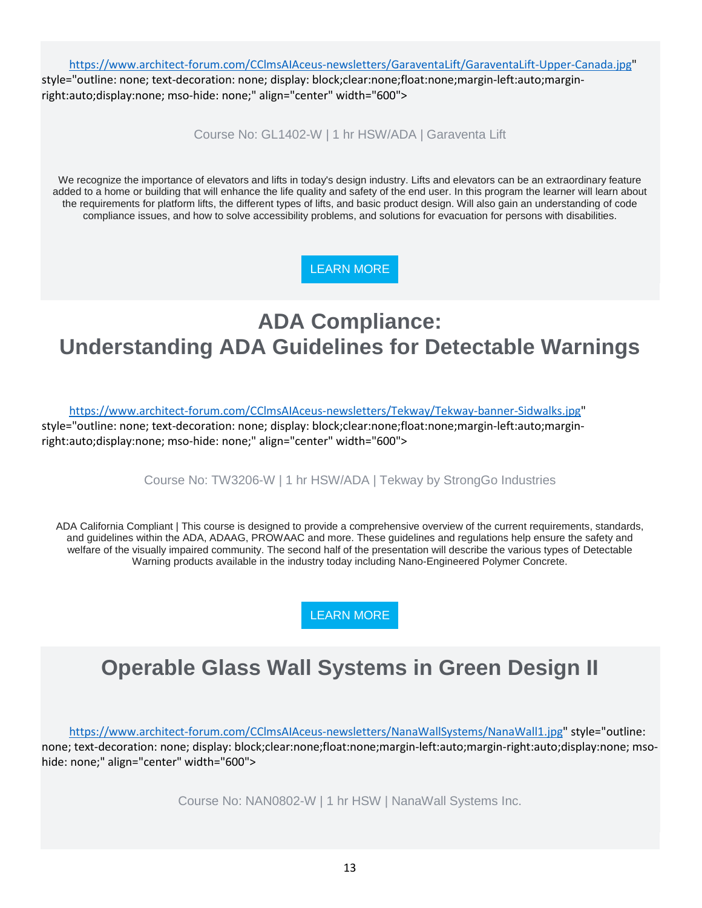[https://www.architect-forum.com/CClmsAIAceus-newsletters/GaraventaLift/GaraventaLift-Upper-Canada.jpg"](https://www.architect-forum.com/CClmsAIAceus-newsletters/GaraventaLift/GaraventaLift-Upper-Canada.jpg)

style="outline: none; text-decoration: none; display: block;clear:none;float:none;margin-left:auto;marginright:auto;display:none; mso-hide: none;" align="center" width="600">

Course No: GL1402-W | 1 hr HSW/ADA | Garaventa Lift

We recognize the importance of elevators and lifts in today's design industry. Lifts and elevators can be an extraordinary feature added to a home or building that will enhance the life quality and safety of the end user. In this program the learner will learn about the requirements for platform lifts, the different types of lifts, and basic product design. Will also gain an understanding of code compliance issues, and how to solve accessibility problems, and solutions for evacuation for persons with disabilities.

[LEARN MORE](https://linkprotect.cudasvc.com/url?a=http%3a%2f%2fnewsletter.architect-forum.com%3a8080%2ft.aspx%3fS%3d1%26ID%3d4631%26NL%3d2%26N%3d1162%26SI%3d2271%26URL%3dhttp%253a%252f%252flms.architect-forum.com%252fsubscribe.php%253fcourse_id%253d250&c=E,1,pAI8UP_LiFzjzfU0YvrmpNCVXycd7wX18uC30NtFFjZaY-WqMEQVPClVgzD0S1nZqN1grE4WwtGUk_cl1rGrjlVmiySzIHDLunGe0wCh&typo=1)

# **ADA Compliance: Understanding ADA Guidelines for Detectable Warnings**

[https://www.architect-forum.com/CClmsAIAceus-newsletters/Tekway/Tekway-banner-Sidwalks.jpg"](https://www.architect-forum.com/CClmsAIAceus-newsletters/Tekway/Tekway-banner-Sidwalks.jpg)

style="outline: none; text-decoration: none; display: block;clear:none;float:none;margin-left:auto;marginright:auto;display:none; mso-hide: none;" align="center" width="600">

Course No: TW3206-W | 1 hr HSW/ADA | Tekway by StrongGo Industries

ADA California Compliant | This course is designed to provide a comprehensive overview of the current requirements, standards, and guidelines within the ADA, ADAAG, PROWAAC and more. These guidelines and regulations help ensure the safety and welfare of the visually impaired community. The second half of the presentation will describe the various types of Detectable Warning products available in the industry today including Nano-Engineered Polymer Concrete.

[LEARN MORE](https://linkprotect.cudasvc.com/url?a=http%3a%2f%2fnewsletter.architect-forum.com%3a8080%2ft.aspx%3fS%3d1%26ID%3d4631%26NL%3d2%26N%3d1162%26SI%3d2271%26URL%3dhttp%253a%252f%252flms.architect-forum.com%252fsubscribe.php%253fcourse_id%253d259&c=E,1,06rjkOaRP0N7QYdDG77IE_g0nFWpLo1xrhGq2MGSMC_UbQXgU-x6izjkty-yKlLhWzik7JU7B9PU6pQHeRbqWZgdQ_CfoQOLRJWrAu5QD8NbgrZNsdE,&typo=1)

# **Operable Glass Wall Systems in Green Design II**

[https://www.architect-forum.com/CClmsAIAceus-newsletters/NanaWallSystems/NanaWall1.jpg"](https://www.architect-forum.com/CClmsAIAceus-newsletters/NanaWallSystems/NanaWall1.jpg) style="outline: none; text-decoration: none; display: block;clear:none;float:none;margin-left:auto;margin-right:auto;display:none; msohide: none;" align="center" width="600">

Course No: NAN0802-W | 1 hr HSW | NanaWall Systems Inc.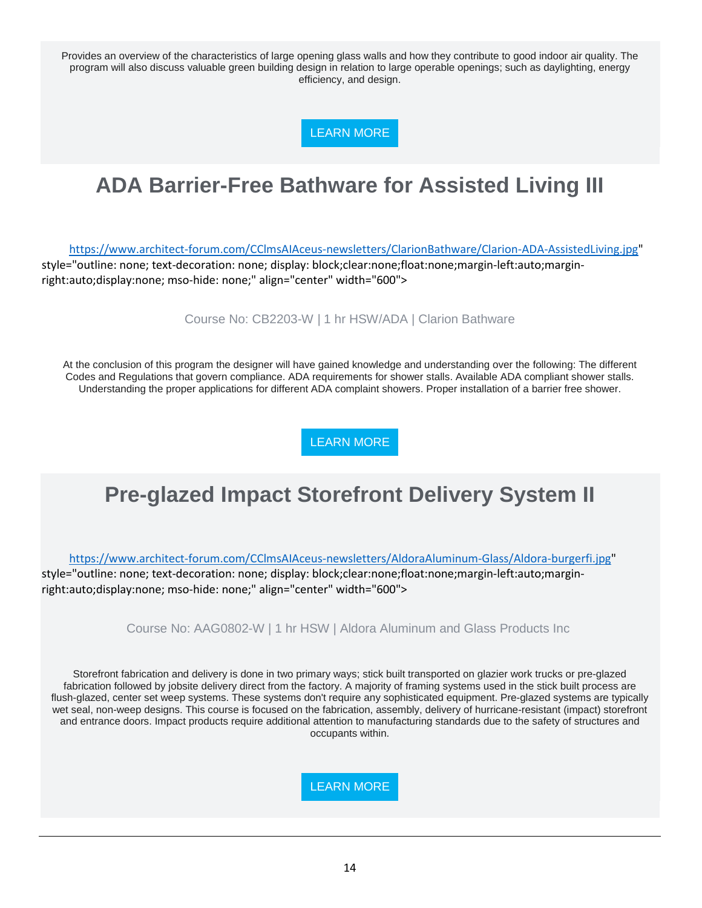Provides an overview of the characteristics of large opening glass walls and how they contribute to good indoor air quality. The program will also discuss valuable green building design in relation to large operable openings; such as daylighting, energy efficiency, and design.

[LEARN MORE](https://linkprotect.cudasvc.com/url?a=http%3a%2f%2fnewsletter.architect-forum.com%3a8080%2ft.aspx%3fS%3d1%26ID%3d4631%26NL%3d2%26N%3d1162%26SI%3d2271%26URL%3dhttp%253a%252f%252flms.architect-forum.com%252fsubscribe.php%253fcourse_id%253d262&c=E,1,N12q5ok7ijvclyUs_JmQGZ_8IH-Se3xtWbm780c-lrJoypK6tZikCNYYBxDe60gZxxwpVcsU6F0Y6P74IQlCz0IPaVTs5wlu3yvH7BGumUnSiZgMOy5n&typo=1)

# **ADA Barrier-Free Bathware for Assisted Living III**

[https://www.architect-forum.com/CClmsAIAceus-newsletters/ClarionBathware/Clarion-ADA-AssistedLiving.jpg"](https://www.architect-forum.com/CClmsAIAceus-newsletters/ClarionBathware/Clarion-ADA-AssistedLiving.jpg)

style="outline: none; text-decoration: none; display: block;clear:none;float:none;margin-left:auto;marginright:auto;display:none; mso-hide: none;" align="center" width="600">

Course No: CB2203-W | 1 hr HSW/ADA | Clarion Bathware

At the conclusion of this program the designer will have gained knowledge and understanding over the following: The different Codes and Regulations that govern compliance. ADA requirements for shower stalls. Available ADA compliant shower stalls. Understanding the proper applications for different ADA complaint showers. Proper installation of a barrier free shower.

[LEARN MORE](https://linkprotect.cudasvc.com/url?a=http%3a%2f%2fnewsletter.architect-forum.com%3a8080%2ft.aspx%3fS%3d1%26ID%3d4631%26NL%3d2%26N%3d1162%26SI%3d2271%26URL%3dhttp%253a%252f%252flms.architect-forum.com%252fsubscribe.php%253fcourse_id%253d263&c=E,1,MetymEdIiTOuWp7ZnivXMbCqjvjcDa-2dykVZEvaTou19yTz09w1rKncqbFTmiq7KoBh8bFZlAE7xyP4HWUd1z1N_bpH1gWB9lIPzPQgTVn74Oth7A,,&typo=1)

# **Pre-glazed Impact Storefront Delivery System II**

[https://www.architect-forum.com/CClmsAIAceus-newsletters/AldoraAluminum-Glass/Aldora-burgerfi.jpg"](https://www.architect-forum.com/CClmsAIAceus-newsletters/AldoraAluminum-Glass/Aldora-burgerfi.jpg) style="outline: none; text-decoration: none; display: block;clear:none;float:none;margin-left:auto;marginright:auto;display:none; mso-hide: none;" align="center" width="600">

Course No: AAG0802-W | 1 hr HSW | Aldora Aluminum and Glass Products Inc

Storefront fabrication and delivery is done in two primary ways; stick built transported on glazier work trucks or pre-glazed fabrication followed by jobsite delivery direct from the factory. A majority of framing systems used in the stick built process are flush-glazed, center set weep systems. These systems don't require any sophisticated equipment. Pre-glazed systems are typically wet seal, non-weep designs. This course is focused on the fabrication, assembly, delivery of hurricane-resistant (impact) storefront and entrance doors. Impact products require additional attention to manufacturing standards due to the safety of structures and occupants within.